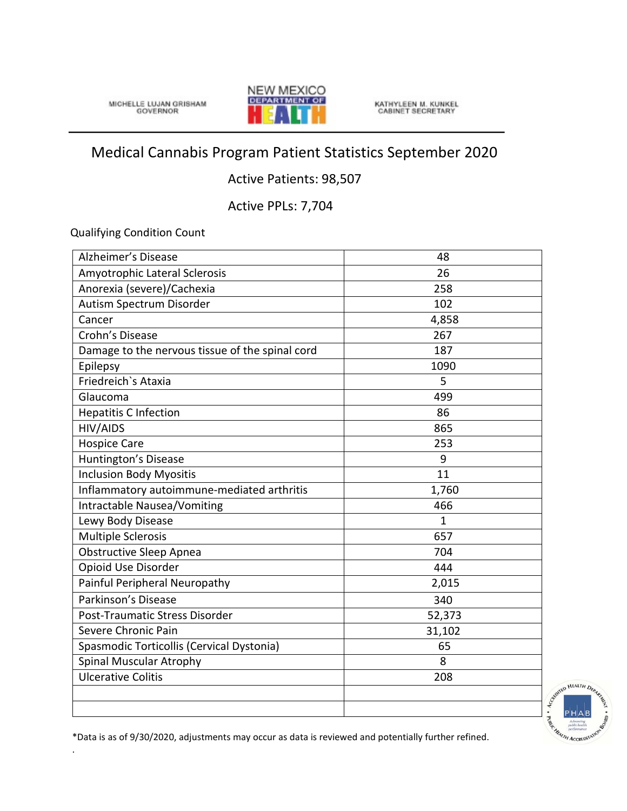MICHELLE LUJAN GRISHAM



KATHYLEEN M. KUNKEL<br>CABINET SECRETARY

## Medical Cannabis Program Patient Statistics September 2020

## Active Patients: 98,507

Active PPLs: 7,704

Qualifying Condition Count

.

| Alzheimer's Disease                             | 48           |
|-------------------------------------------------|--------------|
| Amyotrophic Lateral Sclerosis                   | 26           |
| Anorexia (severe)/Cachexia                      | 258          |
| Autism Spectrum Disorder                        | 102          |
| Cancer                                          | 4,858        |
| Crohn's Disease                                 | 267          |
| Damage to the nervous tissue of the spinal cord | 187          |
| Epilepsy                                        | 1090         |
| Friedreich's Ataxia                             | 5            |
| Glaucoma                                        | 499          |
| <b>Hepatitis C Infection</b>                    | 86           |
| <b>HIV/AIDS</b>                                 | 865          |
| <b>Hospice Care</b>                             | 253          |
| Huntington's Disease                            | 9            |
| <b>Inclusion Body Myositis</b>                  | 11           |
| Inflammatory autoimmune-mediated arthritis      | 1,760        |
| Intractable Nausea/Vomiting                     | 466          |
| Lewy Body Disease                               | $\mathbf{1}$ |
| <b>Multiple Sclerosis</b>                       | 657          |
| <b>Obstructive Sleep Apnea</b>                  | 704          |
| Opioid Use Disorder                             | 444          |
| Painful Peripheral Neuropathy                   | 2,015        |
| Parkinson's Disease                             | 340          |
| Post-Traumatic Stress Disorder                  | 52,373       |
| Severe Chronic Pain                             | 31,102       |
| Spasmodic Torticollis (Cervical Dystonia)       | 65           |
| <b>Spinal Muscular Atrophy</b>                  | 8            |
| <b>Ulcerative Colitis</b>                       | 208          |
|                                                 |              |
|                                                 |              |



\*Data is as of 9/30/2020, adjustments may occur as data is reviewed and potentially further refined.